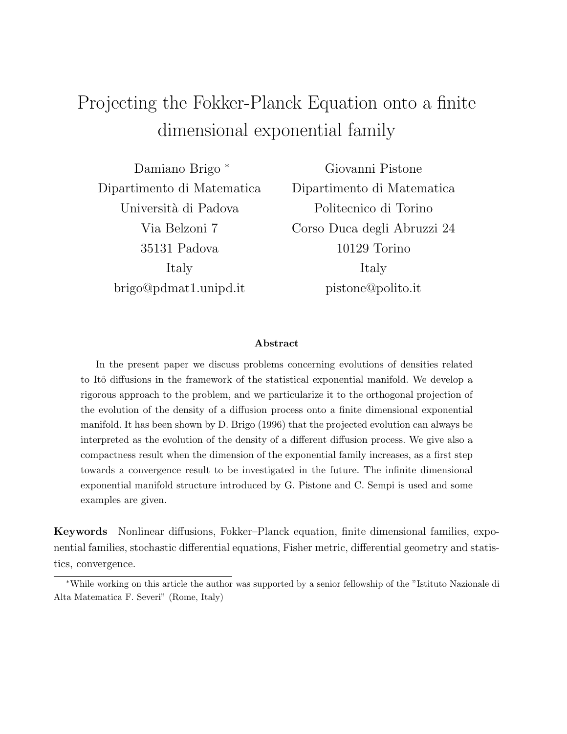# Projecting the Fokker-Planck Equation onto a finite dimensional exponential family

Damiano Brigo <sup>∗</sup> Dipartimento di Matematica Università di Padova Via Belzoni 7 35131 Padova Italy brigo@pdmat1.unipd.it

Giovanni Pistone Dipartimento di Matematica Politecnico di Torino Corso Duca degli Abruzzi 24 10129 Torino Italy pistone@polito.it

#### Abstract

In the present paper we discuss problems concerning evolutions of densities related to Itô diffusions in the framework of the statistical exponential manifold. We develop a rigorous approach to the problem, and we particularize it to the orthogonal projection of the evolution of the density of a diffusion process onto a finite dimensional exponential manifold. It has been shown by D. Brigo (1996) that the projected evolution can always be interpreted as the evolution of the density of a different diffusion process. We give also a compactness result when the dimension of the exponential family increases, as a first step towards a convergence result to be investigated in the future. The infinite dimensional exponential manifold structure introduced by G. Pistone and C. Sempi is used and some examples are given.

Keywords Nonlinear diffusions, Fokker–Planck equation, finite dimensional families, exponential families, stochastic differential equations, Fisher metric, differential geometry and statistics, convergence.

<sup>∗</sup>While working on this article the author was supported by a senior fellowship of the "Istituto Nazionale di Alta Matematica F. Severi" (Rome, Italy)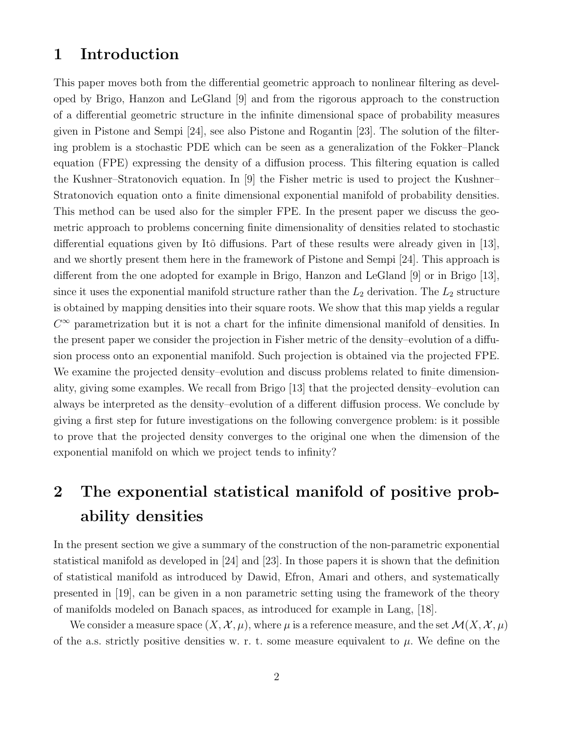### 1 Introduction

This paper moves both from the differential geometric approach to nonlinear filtering as developed by Brigo, Hanzon and LeGland [9] and from the rigorous approach to the construction of a differential geometric structure in the infinite dimensional space of probability measures given in Pistone and Sempi [24], see also Pistone and Rogantin [23]. The solution of the filtering problem is a stochastic PDE which can be seen as a generalization of the Fokker–Planck equation (FPE) expressing the density of a diffusion process. This filtering equation is called the Kushner–Stratonovich equation. In [9] the Fisher metric is used to project the Kushner– Stratonovich equation onto a finite dimensional exponential manifold of probability densities. This method can be used also for the simpler FPE. In the present paper we discuss the geometric approach to problems concerning finite dimensionality of densities related to stochastic differential equations given by Itô diffusions. Part of these results were already given in [13], and we shortly present them here in the framework of Pistone and Sempi [24]. This approach is different from the one adopted for example in Brigo, Hanzon and LeGland [9] or in Brigo [13], since it uses the exponential manifold structure rather than the  $L_2$  derivation. The  $L_2$  structure is obtained by mapping densities into their square roots. We show that this map yields a regular  $C^{\infty}$  parametrization but it is not a chart for the infinite dimensional manifold of densities. In the present paper we consider the projection in Fisher metric of the density–evolution of a diffusion process onto an exponential manifold. Such projection is obtained via the projected FPE. We examine the projected density–evolution and discuss problems related to finite dimensionality, giving some examples. We recall from Brigo [13] that the projected density–evolution can always be interpreted as the density–evolution of a different diffusion process. We conclude by giving a first step for future investigations on the following convergence problem: is it possible to prove that the projected density converges to the original one when the dimension of the exponential manifold on which we project tends to infinity?

## 2 The exponential statistical manifold of positive probability densities

In the present section we give a summary of the construction of the non-parametric exponential statistical manifold as developed in [24] and [23]. In those papers it is shown that the definition of statistical manifold as introduced by Dawid, Efron, Amari and others, and systematically presented in [19], can be given in a non parametric setting using the framework of the theory of manifolds modeled on Banach spaces, as introduced for example in Lang, [18].

We consider a measure space  $(X, \mathcal{X}, \mu)$ , where  $\mu$  is a reference measure, and the set  $\mathcal{M}(X, \mathcal{X}, \mu)$ of the a.s. strictly positive densities w. r. t. some measure equivalent to  $\mu$ . We define on the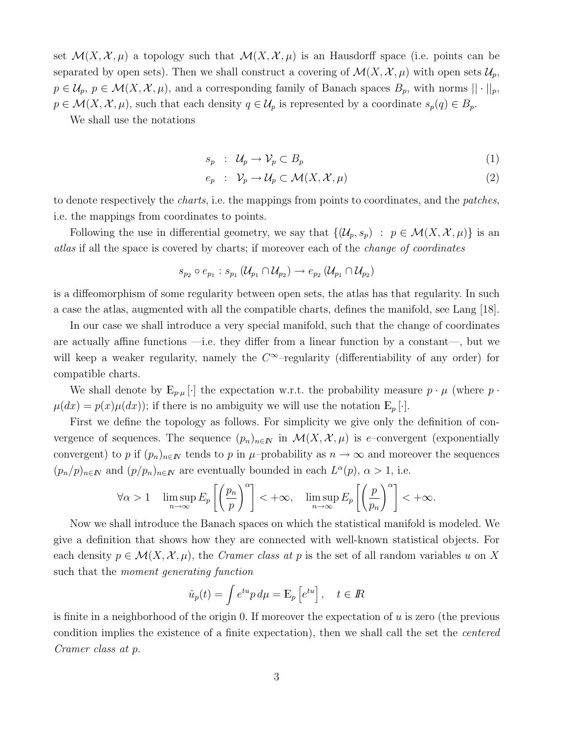set  $\mathcal{M}(X,\mathcal{X},\mu)$  a topology such that  $\mathcal{M}(X,\mathcal{X},\mu)$  is an Hausdorff space (i.e. points can be separated by open sets). Then we shall construct a covering of  $\mathcal{M}(X, \mathcal{X}, \mu)$  with open sets  $\mathcal{U}_p$ ,  $p \in \mathcal{U}_p$ ,  $p \in \mathcal{M}(X, \mathcal{X}, \mu)$ , and a corresponding family of Banach spaces  $B_p$ , with norms  $|| \cdot ||_p$ ,  $p \in \mathcal{M}(X, \mathcal{X}, \mu)$ , such that each density  $q \in \mathcal{U}_p$  is represented by a coordinate  $s_p(q) \in B_p$ .

We shall use the notations

$$
s_p : \mathcal{U}_p \to \mathcal{V}_p \subset B_p \tag{1}
$$

$$
e_p : \mathcal{V}_p \to \mathcal{U}_p \subset \mathcal{M}(X, \mathcal{X}, \mu) \tag{2}
$$

to denote respectively the charts, i.e. the mappings from points to coordinates, and the patches, i.e. the mappings from coordinates to points.

Following the use in differential geometry, we say that  $\{(\mathcal{U}_p, s_p) : p \in \mathcal{M}(X, \mathcal{X}, \mu)\}\$ is an atlas if all the space is covered by charts; if moreover each of the change of coordinates

$$
s_{p_2} \circ e_{p_1} : s_{p_1} (\mathcal{U}_{p_1} \cap \mathcal{U}_{p_2}) \to e_{p_2} (\mathcal{U}_{p_1} \cap \mathcal{U}_{p_2})
$$

is a diffeomorphism of some regularity between open sets, the atlas has that regularity. In such a case the atlas, augmented with all the compatible charts, defines the manifold, see Lang [18].

In our case we shall introduce a very special manifold, such that the change of coordinates are actually affine functions —i.e. they differ from a linear function by a constant—, but we will keep a weaker regularity, namely the  $C^{\infty}$ -regularity (differentiability of any order) for compatible charts.

We shall denote by  $E_{p\cdot\mu}$  | the expectation w.r.t. the probability measure  $p\cdot\mu$  (where p.  $\mu(dx) = p(x)\mu(dx)$ ; if there is no ambiguity we will use the notation  $E_p[\cdot]$ .

First we define the topology as follows. For simplicity we give only the definition of convergence of sequences. The sequence  $(p_n)_{n\in\mathbb{N}}$  in  $\mathcal{M}(X,\mathcal{X},\mu)$  is e–convergent (exponentially convergent) to p if  $(p_n)_{n\in\mathbb{N}}$  tends to p in  $\mu$ –probability as  $n \to \infty$  and moreover the sequences  $(p_n/p)_{n\in\mathbb{N}}$  and  $(p/p_n)_{n\in\mathbb{N}}$  are eventually bounded in each  $L^{\alpha}(p)$ ,  $\alpha > 1$ , i.e.

$$
\forall \alpha > 1 \quad \limsup_{n \to \infty} E_p \left[ \left( \frac{p_n}{p} \right)^{\alpha} \right] < +\infty, \quad \limsup_{n \to \infty} E_p \left[ \left( \frac{p}{p_n} \right)^{\alpha} \right] < +\infty.
$$

Now we shall introduce the Banach spaces on which the statistical manifold is modeled. We give a definition that shows how they are connected with well-known statistical objects. For each density  $p \in \mathcal{M}(X, \mathcal{X}, \mu)$ , the Cramer class at p is the set of all random variables u on X such that the moment generating function

$$
\hat{u}_p(t) = \int e^{tu} p \, d\mu = \mathcal{E}_p \left[ e^{tu} \right], \quad t \in \mathbb{R}
$$

is finite in a neighborhood of the origin 0. If moreover the expectation of  $u$  is zero (the previous condition implies the existence of a finite expectation), then we shall call the set the centered Cramer class at p.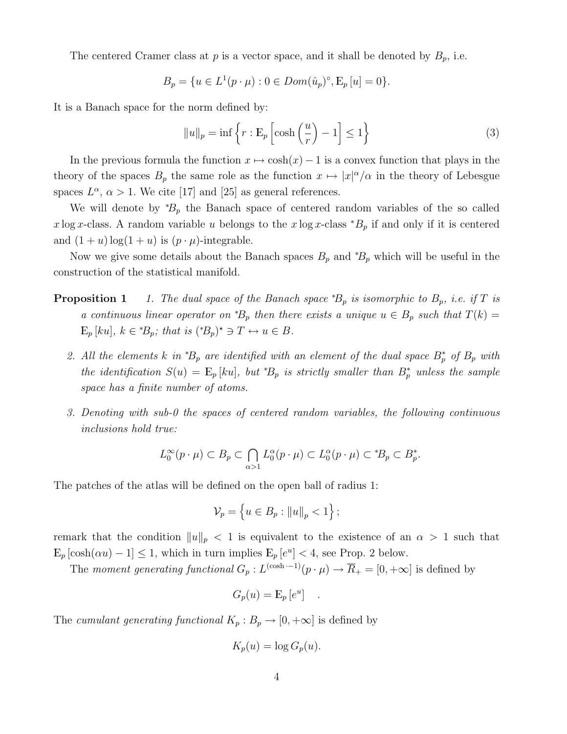The centered Cramer class at  $p$  is a vector space, and it shall be denoted by  $B_p$ , i.e.

$$
B_p = \{ u \in L^1(p \cdot \mu) : 0 \in Dom(\hat{u}_p)^{\circ}, E_p[u] = 0 \}.
$$

It is a Banach space for the norm defined by:

$$
||u||_p = \inf \left\{ r : \mathcal{E}_p \left[ \cosh \left( \frac{u}{r} \right) - 1 \right] \le 1 \right\} \tag{3}
$$

In the previous formula the function  $x \mapsto \cosh(x) - 1$  is a convex function that plays in the theory of the spaces  $B_p$  the same role as the function  $x \mapsto |x|^{\alpha}/\alpha$  in the theory of Lebesgue spaces  $L^{\alpha}$ ,  $\alpha > 1$ . We cite [17] and [25] as general references.

We will denote by  ${}^*B_p$  the Banach space of centered random variables of the so called x log x-class. A random variable u belongs to the x log x-class  $B_p$  if and only if it is centered and  $(1 + u) \log(1 + u)$  is  $(p \cdot \mu)$ -integrable.

Now we give some details about the Banach spaces  $B_p$  and  ${}^*B_p$  which will be useful in the construction of the statistical manifold.

- **Proposition 1** 1. The dual space of the Banach space  ${}^*B_p$  is isomorphic to  $B_p$ , i.e. if T is a continuous linear operator on  ${}^*\!B_p$  then there exists a unique  $u \in B_p$  such that  $T(k) =$  $E_p\left[ku\right], k \in {^*B_p};$  that is  $({^*B_p})^* \ni T \leftrightarrow u \in B.$ 
	- 2. All the elements k in \*B<sub>p</sub> are identified with an element of the dual space  $B_p^*$  of  $B_p$  with the identification  $S(u) = \mathbb{E}_p [ku]$ , but  ${}^*B_p$  is strictly smaller than  $B_p^*$  unless the sample space has a finite number of atoms.
	- 3. Denoting with sub-0 the spaces of centered random variables, the following continuous inclusions hold true:

$$
L_0^{\infty}(p \cdot \mu) \subset B_p \subset \bigcap_{\alpha > 1} L_0^{\alpha}(p \cdot \mu) \subset L_0^{\alpha}(p \cdot \mu) \subset {^*B_p} \subset B_p^*.
$$

The patches of the atlas will be defined on the open ball of radius 1:

$$
\mathcal{V}_p = \left\{ u \in B_p : ||u||_p < 1 \right\};
$$

remark that the condition  $||u||_p < 1$  is equivalent to the existence of an  $\alpha > 1$  such that  $\mathbb{E}_p\left[\cosh(\alpha u) - 1\right] \leq 1$ , which in turn implies  $\mathbb{E}_p\left[e^u\right] < 4$ , see Prop. 2 below.

The moment generating functional  $G_p: L^{(\cosh - 1)}(p \cdot \mu) \to \overline{R}_+ = [0, +\infty]$  is defined by

$$
G_p(u) = \mathcal{E}_p[e^u] \quad .
$$

The cumulant generating functional  $K_p : B_p \to [0, +\infty]$  is defined by

$$
K_p(u) = \log G_p(u).
$$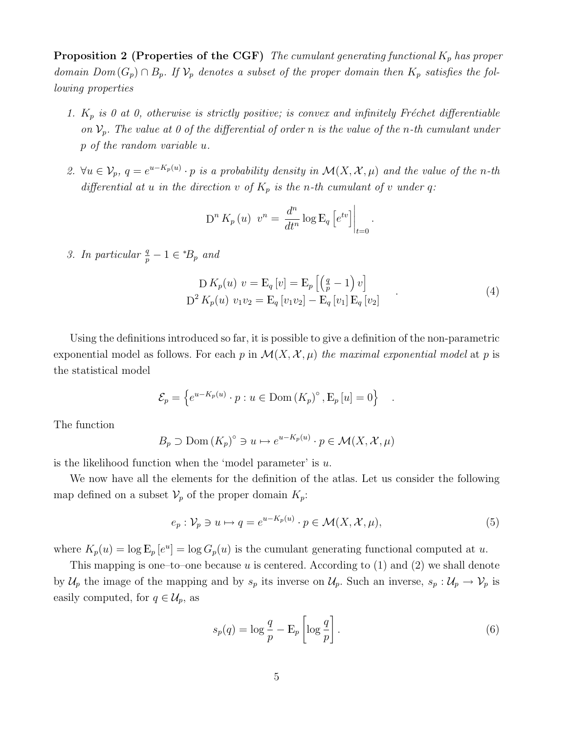**Proposition 2 (Properties of the CGF)** The cumulant generating functional  $K_p$  has proper domain  $Dom(G_p) \cap B_p$ . If  $V_p$  denotes a subset of the proper domain then  $K_p$  satisfies the following properties

- 1.  $K_p$  is 0 at 0, otherwise is strictly positive; is convex and infinitely Fréchet differentiable on  $\mathcal{V}_p$ . The value at 0 of the differential of order n is the value of the n-th cumulant under p of the random variable u.
- 2.  $\forall u \in V_p$ ,  $q = e^{u K_p(u)} \cdot p$  is a probability density in  $\mathcal{M}(X, \mathcal{X}, \mu)$  and the value of the n-th differential at u in the direction v of  $K_p$  is the n-th cumulant of v under q:

$$
D^{n} K_{p}(u) v^{n} = \frac{d^{n}}{dt^{n}} \log E_{q} \left[ e^{tv} \right] \Big|_{t=0}.
$$

3. In particular  $\frac{q}{p} - 1 \in {^*B_p}$  and

$$
D K_p(u) v = E_q[v] = E_p \left[ \left( \frac{q}{p} - 1 \right) v \right]
$$
  

$$
D^2 K_p(u) v_1 v_2 = E_q[v_1 v_2] - E_q[v_1] E_q[v_2]
$$
 (4)

.

Using the definitions introduced so far, it is possible to give a definition of the non-parametric exponential model as follows. For each p in  $\mathcal{M}(X, \mathcal{X}, \mu)$  the maximal exponential model at p is the statistical model

$$
\mathcal{E}_p = \left\{ e^{u - K_p(u)} \cdot p : u \in \text{Dom} \left( K_p \right)^{\circ}, E_p \left[ u \right] = 0 \right\}
$$

The function

$$
B_p \supset \text{Dom}(K_p)^\circ \ni u \mapsto e^{u - K_p(u)} \cdot p \in \mathcal{M}(X, \mathcal{X}, \mu)
$$

is the likelihood function when the 'model parameter' is  $u$ .

We now have all the elements for the definition of the atlas. Let us consider the following map defined on a subset  $\mathcal{V}_p$  of the proper domain  $K_p$ :

$$
e_p: \mathcal{V}_p \ni u \mapsto q = e^{u - K_p(u)} \cdot p \in \mathcal{M}(X, \mathcal{X}, \mu), \tag{5}
$$

where  $K_p(u) = \log E_p[e^u] = \log G_p(u)$  is the cumulant generating functional computed at u.

This mapping is one–to–one because u is centered. According to  $(1)$  and  $(2)$  we shall denote by  $\mathcal{U}_p$  the image of the mapping and by  $s_p$  its inverse on  $\mathcal{U}_p$ . Such an inverse,  $s_p : \mathcal{U}_p \to \mathcal{V}_p$  is easily computed, for  $q \in \mathcal{U}_p$ , as

$$
s_p(q) = \log \frac{q}{p} - \mathbf{E}_p \left[ \log \frac{q}{p} \right].
$$
 (6)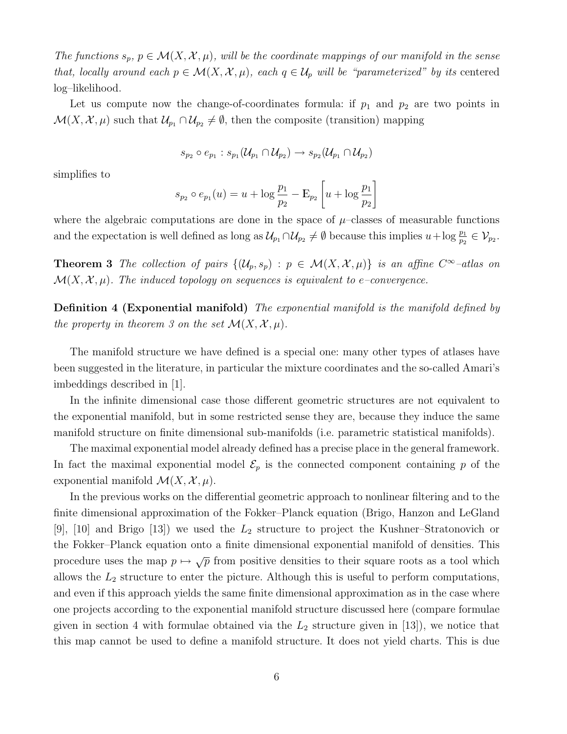The functions  $s_p, p \in \mathcal{M}(X, \mathcal{X}, \mu)$ , will be the coordinate mappings of our manifold in the sense that, locally around each  $p \in \mathcal{M}(X, \mathcal{X}, \mu)$ , each  $q \in \mathcal{U}_p$  will be "parameterized" by its centered log–likelihood.

Let us compute now the change-of-coordinates formula: if  $p_1$  and  $p_2$  are two points in  $\mathcal{M}(X, \mathcal{X}, \mu)$  such that  $\mathcal{U}_{p_1} \cap \mathcal{U}_{p_2} \neq \emptyset$ , then the composite (transition) mapping

$$
s_{p_2} \circ e_{p_1} : s_{p_1}(\mathcal{U}_{p_1} \cap \mathcal{U}_{p_2}) \to s_{p_2}(\mathcal{U}_{p_1} \cap \mathcal{U}_{p_2})
$$

simplifies to

$$
s_{p_2} \circ e_{p_1}(u) = u + \log \frac{p_1}{p_2} - \mathcal{E}_{p_2} \left[ u + \log \frac{p_1}{p_2} \right]
$$

where the algebraic computations are done in the space of  $\mu$ –classes of measurable functions and the expectation is well defined as long as  $\mathcal{U}_{p_1} \cap \mathcal{U}_{p_2} \neq \emptyset$  because this implies  $u + \log \frac{p_1}{p_2} \in \mathcal{V}_{p_2}$ .

**Theorem 3** The collection of pairs  $\{(\mathcal{U}_p, s_p) : p \in \mathcal{M}(X, \mathcal{X}, \mu)\}\$ is an affine  $C^{\infty}$ -atlas on  $\mathcal{M}(X, \mathcal{X}, \mu)$ . The induced topology on sequences is equivalent to e–convergence.

**Definition 4 (Exponential manifold)** The exponential manifold is the manifold defined by the property in theorem 3 on the set  $\mathcal{M}(X, \mathcal{X}, \mu)$ .

The manifold structure we have defined is a special one: many other types of atlases have been suggested in the literature, in particular the mixture coordinates and the so-called Amari's imbeddings described in [1].

In the infinite dimensional case those different geometric structures are not equivalent to the exponential manifold, but in some restricted sense they are, because they induce the same manifold structure on finite dimensional sub-manifolds (i.e. parametric statistical manifolds).

The maximal exponential model already defined has a precise place in the general framework. In fact the maximal exponential model  $\mathcal{E}_p$  is the connected component containing p of the exponential manifold  $\mathcal{M}(X, \mathcal{X}, \mu)$ .

In the previous works on the differential geometric approach to nonlinear filtering and to the finite dimensional approximation of the Fokker–Planck equation (Brigo, Hanzon and LeGland [9], [10] and Brigo [13]) we used the  $L_2$  structure to project the Kushner–Stratonovich or the Fokker–Planck equation onto a finite dimensional exponential manifold of densities. This procedure uses the map  $p \mapsto \sqrt{p}$  from positive densities to their square roots as a tool which allows the  $L_2$  structure to enter the picture. Although this is useful to perform computations, and even if this approach yields the same finite dimensional approximation as in the case where one projects according to the exponential manifold structure discussed here (compare formulae given in section 4 with formulae obtained via the  $L_2$  structure given in [13]), we notice that this map cannot be used to define a manifold structure. It does not yield charts. This is due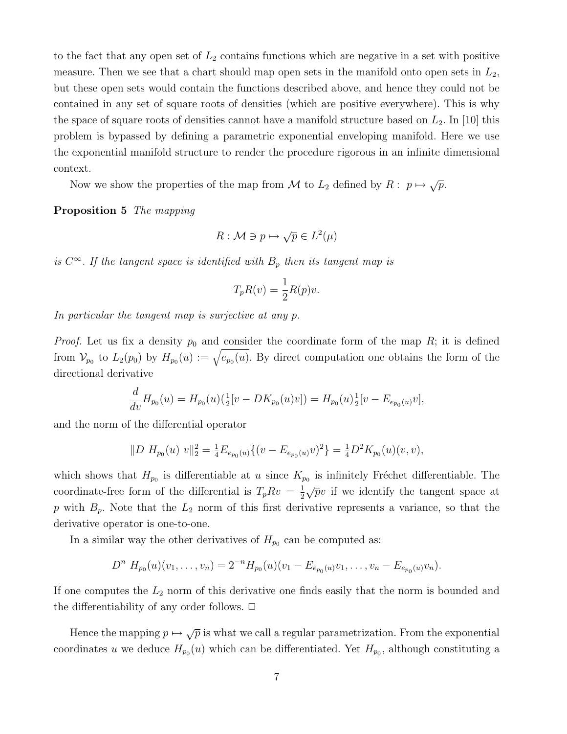to the fact that any open set of  $L_2$  contains functions which are negative in a set with positive measure. Then we see that a chart should map open sets in the manifold onto open sets in  $L_2$ , but these open sets would contain the functions described above, and hence they could not be contained in any set of square roots of densities (which are positive everywhere). This is why the space of square roots of densities cannot have a manifold structure based on  $L_2$ . In [10] this problem is bypassed by defining a parametric exponential enveloping manifold. Here we use the exponential manifold structure to render the procedure rigorous in an infinite dimensional context.

Now we show the properties of the map from M to  $L_2$  defined by  $R: p \mapsto \sqrt{p}$ .

#### Proposition 5 The mapping

$$
R: \mathcal{M} \ni p \mapsto \sqrt{p} \in L^2(\mu)
$$

is  $C^{\infty}$ . If the tangent space is identified with  $B_p$  then its tangent map is

$$
T_p R(v) = \frac{1}{2} R(p)v.
$$

In particular the tangent map is surjective at any p.

*Proof.* Let us fix a density  $p_0$  and consider the coordinate form of the map R; it is defined from  $V_{p_0}$  to  $L_2(p_0)$  by  $H_{p_0}(u) := \sqrt{e_{p_0}(u)}$ . By direct computation one obtains the form of the directional derivative

$$
\frac{d}{dv}H_{p_0}(u) = H_{p_0}(u)(\frac{1}{2}[v - DK_{p_0}(u)v]) = H_{p_0}(u)\frac{1}{2}[v - E_{e_{p_0}(u)}v],
$$

and the norm of the differential operator

$$
||D H_{p_0}(u) v||_2^2 = \frac{1}{4} E_{e_{p_0}(u)} \{ (v - E_{e_{p_0}(u)} v)^2 \} = \frac{1}{4} D^2 K_{p_0}(u) (v, v),
$$

which shows that  $H_{p_0}$  is differentiable at u since  $K_{p_0}$  is infinitely Fréchet differentiable. The coordinate-free form of the differential is  $T_p R v = \frac{1}{2}$  $\frac{1}{2}\sqrt{p}v$  if we identify the tangent space at p with  $B_p$ . Note that the  $L_2$  norm of this first derivative represents a variance, so that the derivative operator is one-to-one.

In a similar way the other derivatives of  $H_{p_0}$  can be computed as:

$$
D^{n} H_{p_0}(u)(v_1,\ldots,v_n) = 2^{-n} H_{p_0}(u)(v_1 - E_{e_{p_0}(u)}v_1,\ldots,v_n - E_{e_{p_0}(u)}v_n).
$$

If one computes the  $L_2$  norm of this derivative one finds easily that the norm is bounded and the differentiability of any order follows.  $\Box$ 

Hence the mapping  $p \mapsto \sqrt{p}$  is what we call a regular parametrization. From the exponential coordinates u we deduce  $H_{p_0}(u)$  which can be differentiated. Yet  $H_{p_0}$ , although constituting a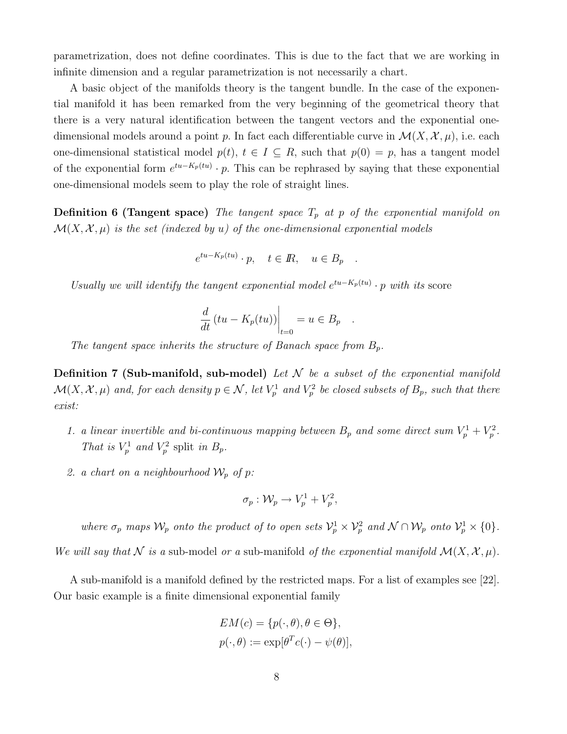parametrization, does not define coordinates. This is due to the fact that we are working in infinite dimension and a regular parametrization is not necessarily a chart.

A basic object of the manifolds theory is the tangent bundle. In the case of the exponential manifold it has been remarked from the very beginning of the geometrical theory that there is a very natural identification between the tangent vectors and the exponential onedimensional models around a point p. In fact each differentiable curve in  $\mathcal{M}(X, \mathcal{X}, \mu)$ , i.e. each one-dimensional statistical model  $p(t)$ ,  $t \in I \subseteq R$ , such that  $p(0) = p$ , has a tangent model of the exponential form  $e^{tu-K_p(tu)} \cdot p$ . This can be rephrased by saying that these exponential one-dimensional models seem to play the role of straight lines.

**Definition 6 (Tangent space)** The tangent space  $T_p$  at p of the exponential manifold on  $\mathcal{M}(X, \mathcal{X}, \mu)$  is the set (indexed by u) of the one-dimensional exponential models

$$
e^{tu - K_p(tu)} \cdot p, \quad t \in \mathbb{R}, \quad u \in B_p \quad .
$$

Usually we will identify the tangent exponential model  $e^{tu-K_p(tu)}\cdot p$  with its score

$$
\frac{d}{dt} (tu - K_p(tu)) \Big|_{t=0} = u \in B_p .
$$

The tangent space inherits the structure of Banach space from  $B_p$ .

**Definition 7 (Sub-manifold, sub-model)** Let  $N$  be a subset of the exponential manifold  $\mathcal{M}(X,\mathcal{X},\mu)$  and, for each density  $p\in\mathcal{N}$ , let  $V^1_p$  and  $V^2_p$  be closed subsets of  $B_p$ , such that there exist:

- 1. a linear invertible and bi-continuous mapping between  $B_p$  and some direct sum  $V_p^1 + V_p^2$ . That is  $V_p^1$  and  $V_p^2$  split in  $B_p$ .
- 2. a chart on a neighbourhood  $\mathcal{W}_p$  of p:

$$
\sigma_p: \mathcal{W}_p \to V_p^1 + V_p^2,
$$

where  $\sigma_p$  maps  $\mathcal{W}_p$  onto the product of to open sets  $\mathcal{V}_p^1 \times \mathcal{V}_p^2$  and  $\mathcal{N} \cap \mathcal{W}_p$  onto  $\mathcal{V}_p^1 \times \{0\}$ .

We will say that N is a sub-model or a sub-manifold of the exponential manifold  $\mathcal{M}(X, \mathcal{X}, \mu)$ .

A sub-manifold is a manifold defined by the restricted maps. For a list of examples see [22]. Our basic example is a finite dimensional exponential family

$$
EM(c) = \{p(\cdot, \theta), \theta \in \Theta\},
$$
  

$$
p(\cdot, \theta) := \exp[\theta^T c(\cdot) - \psi(\theta)],
$$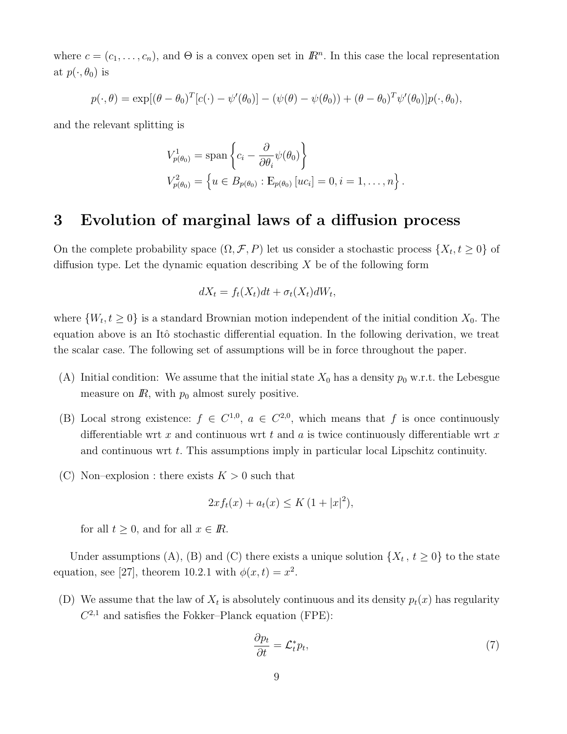where  $c = (c_1, \ldots, c_n)$ , and  $\Theta$  is a convex open set in  $\mathbb{R}^n$ . In this case the local representation at  $p(\cdot, \theta_0)$  is

$$
p(\cdot,\theta) = \exp[(\theta-\theta_0)^T[c(\cdot)-\psi'(\theta_0)]-(\psi(\theta)-\psi(\theta_0))+(\theta-\theta_0)^T\psi'(\theta_0)]p(\cdot,\theta_0),
$$

and the relevant splitting is

$$
V_{p(\theta_0)}^1 = \text{span}\left\{c_i - \frac{\partial}{\partial \theta_i} \psi(\theta_0)\right\}
$$
  

$$
V_{p(\theta_0)}^2 = \left\{u \in B_{p(\theta_0)} : \mathbb{E}_{p(\theta_0)}[uc_i] = 0, i = 1, ..., n\right\}.
$$

### 3 Evolution of marginal laws of a diffusion process

On the complete probability space  $(\Omega, \mathcal{F}, P)$  let us consider a stochastic process  $\{X_t, t \geq 0\}$  of diffusion type. Let the dynamic equation describing  $X$  be of the following form

$$
dX_t = f_t(X_t)dt + \sigma_t(X_t)dW_t,
$$

where  $\{W_t, t \geq 0\}$  is a standard Brownian motion independent of the initial condition  $X_0$ . The equation above is an Itô stochastic differential equation. In the following derivation, we treat the scalar case. The following set of assumptions will be in force throughout the paper.

- (A) Initial condition: We assume that the initial state  $X_0$  has a density  $p_0$  w.r.t. the Lebesgue measure on  $\mathbb{R}$ , with  $p_0$  almost surely positive.
- (B) Local strong existence:  $f \in C^{1,0}$ ,  $a \in C^{2,0}$ , which means that f is once continuously differentiable wrt x and continuous wrt t and a is twice continuously differentiable wrt x and continuous wrt t. This assumptions imply in particular local Lipschitz continuity.
- (C) Non–explosion : there exists  $K > 0$  such that

$$
2xf_t(x) + a_t(x) \le K(1+|x|^2),
$$

for all  $t \geq 0$ , and for all  $x \in \mathbb{R}$ .

Under assumptions (A), (B) and (C) there exists a unique solution  $\{X_t, t \geq 0\}$  to the state equation, see [27], theorem 10.2.1 with  $\phi(x,t) = x^2$ .

(D) We assume that the law of  $X_t$  is absolutely continuous and its density  $p_t(x)$  has regularity  $C^{2,1}$  and satisfies the Fokker–Planck equation (FPE):

$$
\frac{\partial p_t}{\partial t} = \mathcal{L}_t^* p_t,\tag{7}
$$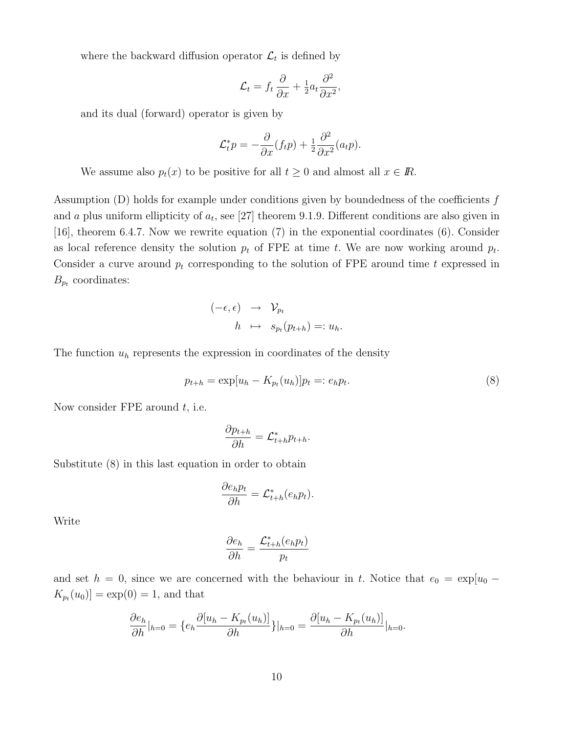where the backward diffusion operator  $\mathcal{L}_t$  is defined by

$$
\mathcal{L}_t = f_t \frac{\partial}{\partial x} + \frac{1}{2} a_t \frac{\partial^2}{\partial x^2},
$$

and its dual (forward) operator is given by

$$
\mathcal{L}_t^* p = -\frac{\partial}{\partial x}(f_t p) + \frac{1}{2} \frac{\partial^2}{\partial x^2}(a_t p).
$$

We assume also  $p_t(x)$  to be positive for all  $t \geq 0$  and almost all  $x \in \mathbb{R}$ .

Assumption  $(D)$  holds for example under conditions given by boundedness of the coefficients  $f$ and a plus uniform ellipticity of  $a_t$ , see [27] theorem 9.1.9. Different conditions are also given in [16], theorem 6.4.7. Now we rewrite equation (7) in the exponential coordinates (6). Consider as local reference density the solution  $p_t$  of FPE at time t. We are now working around  $p_t$ . Consider a curve around  $p_t$  corresponding to the solution of FPE around time t expressed in  $B_{p_t}$  coordinates:

$$
\begin{array}{rcl} (-\epsilon, \epsilon) & \to & \mathcal{V}_{p_t} \\ h & \mapsto & s_{p_t}(p_{t+h}) =: u_h. \end{array}
$$

The function  $u<sub>h</sub>$  represents the expression in coordinates of the density

$$
p_{t+h} = \exp[u_h - K_{p_t}(u_h)]p_t =: e_h p_t.
$$
\n(8)

Now consider FPE around  $t$ , i.e.

$$
\frac{\partial p_{t+h}}{\partial h} = \mathcal{L}_{t+h}^* p_{t+h}.
$$

Substitute (8) in this last equation in order to obtain

$$
\frac{\partial e_h p_t}{\partial h} = \mathcal{L}_{t+h}^*(e_h p_t).
$$

Write

$$
\frac{\partial e_h}{\partial h} = \frac{\mathcal{L}_{t+h}^*(e_h p_t)}{p_t}
$$

and set  $h = 0$ , since we are concerned with the behaviour in t. Notice that  $e_0 = \exp[u_0 K_{p_t}(u_0)$  = exp(0) = 1, and that

$$
\frac{\partial e_h}{\partial h}|_{h=0} = \{e_h \frac{\partial [u_h - K_{p_t}(u_h)]}{\partial h}\}|_{h=0} = \frac{\partial [u_h - K_{p_t}(u_h)]}{\partial h}|_{h=0}.
$$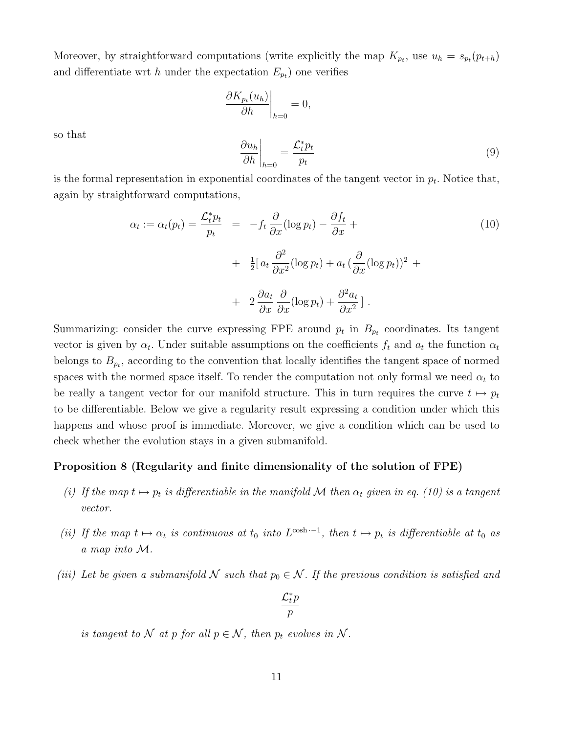Moreover, by straightforward computations (write explicitly the map  $K_{p_t}$ , use  $u_h = s_{p_t}(p_{t+h})$ and differentiate wrt h under the expectation  $E_{p_t}$ ) one verifies

$$
\left. \frac{\partial K_{p_t}(u_h)}{\partial h} \right|_{h=0} = 0,
$$

so that

$$
\left. \frac{\partial u_h}{\partial h} \right|_{h=0} = \frac{\mathcal{L}_t^* p_t}{p_t} \tag{9}
$$

is the formal representation in exponential coordinates of the tangent vector in  $p_t$ . Notice that, again by straightforward computations,

$$
\alpha_t := \alpha_t(p_t) = \frac{\mathcal{L}_t^* p_t}{p_t} = -f_t \frac{\partial}{\partial x} (\log p_t) - \frac{\partial f_t}{\partial x} + + \frac{1}{2} [a_t \frac{\partial^2}{\partial x^2} (\log p_t) + a_t (\frac{\partial}{\partial x} (\log p_t))^2 + + 2 \frac{\partial a_t}{\partial x} \frac{\partial}{\partial x} (\log p_t) + \frac{\partial^2 a_t}{\partial x^2} ].
$$
\n(10)

Summarizing: consider the curve expressing FPE around  $p_t$  in  $B_{p_t}$  coordinates. Its tangent vector is given by  $\alpha_t$ . Under suitable assumptions on the coefficients  $f_t$  and  $a_t$  the function  $\alpha_t$ belongs to  $B_{p_t}$ , according to the convention that locally identifies the tangent space of normed spaces with the normed space itself. To render the computation not only formal we need  $\alpha_t$  to be really a tangent vector for our manifold structure. This in turn requires the curve  $t \mapsto p_t$ to be differentiable. Below we give a regularity result expressing a condition under which this happens and whose proof is immediate. Moreover, we give a condition which can be used to check whether the evolution stays in a given submanifold.

#### Proposition 8 (Regularity and finite dimensionality of the solution of FPE)

- (i) If the map  $t \mapsto p_t$  is differentiable in the manifold M then  $\alpha_t$  given in eq. (10) is a tangent vector.
- (ii) If the map  $t \mapsto \alpha_t$  is continuous at  $t_0$  into  $L^{\cosh 1}$ , then  $t \mapsto p_t$  is differentiable at  $t_0$  as a map into M.
- (iii) Let be given a submanifold N such that  $p_0 \in \mathcal{N}$ . If the previous condition is satisfied and

$$
\frac{\mathcal{L}_t^* p}{p}
$$

is tangent to N at p for all  $p \in \mathcal{N}$ , then  $p_t$  evolves in N.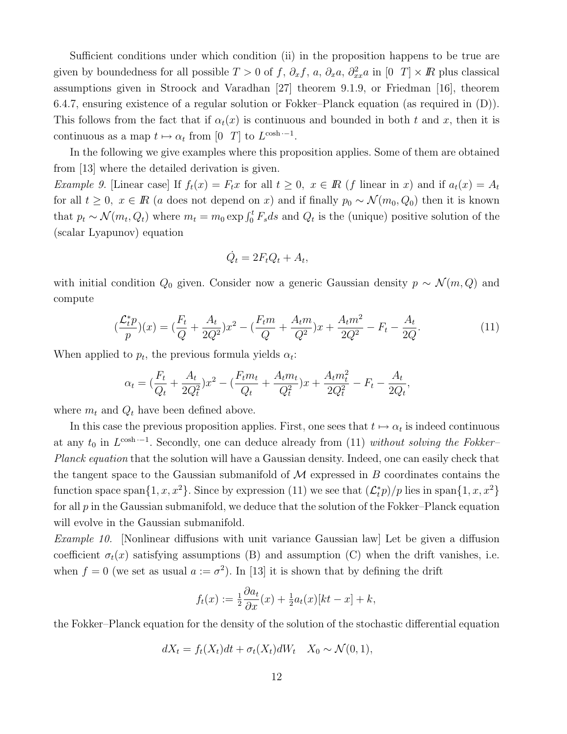Sufficient conditions under which condition (ii) in the proposition happens to be true are given by boundedness for all possible  $T > 0$  of f,  $\partial_x f$ , a,  $\partial_x a$ ,  $\partial_{xx}^2 a$  in  $[0 \ T] \times \mathbb{R}$  plus classical assumptions given in Stroock and Varadhan [27] theorem 9.1.9, or Friedman [16], theorem 6.4.7, ensuring existence of a regular solution or Fokker–Planck equation (as required in (D)). This follows from the fact that if  $\alpha_t(x)$  is continuous and bounded in both t and x, then it is continuous as a map  $t \mapsto \alpha_t$  from [0 T] to  $L^{\cosh t}$ .

In the following we give examples where this proposition applies. Some of them are obtained from [13] where the detailed derivation is given.

Example 9. [Linear case] If  $f_t(x) = F_t x$  for all  $t \geq 0$ ,  $x \in \mathbb{R}$  (f linear in x) and if  $a_t(x) = A_t$ for all  $t \geq 0$ ,  $x \in \mathbb{R}$  (a does not depend on x) and if finally  $p_0 \sim \mathcal{N}(m_0, Q_0)$  then it is known that  $p_t \sim \mathcal{N}(m_t, Q_t)$  where  $m_t = m_0 \exp \int_0^t F_s ds$  and  $Q_t$  is the (unique) positive solution of the (scalar Lyapunov) equation

$$
\dot{Q}_t = 2F_t Q_t + A_t,
$$

with initial condition  $Q_0$  given. Consider now a generic Gaussian density  $p \sim \mathcal{N}(m, Q)$  and compute

$$
\left(\frac{\mathcal{L}_t^* p}{p}\right)(x) = \left(\frac{F_t}{Q} + \frac{A_t}{2Q^2}\right)x^2 - \left(\frac{F_t m}{Q} + \frac{A_t m}{Q^2}\right)x + \frac{A_t m^2}{2Q^2} - F_t - \frac{A_t}{2Q}.\tag{11}
$$

When applied to  $p_t$ , the previous formula yields  $\alpha_t$ :

$$
\alpha_t = (\frac{F_t}{Q_t} + \frac{A_t}{2Q_t^2})x^2 - (\frac{F_t m_t}{Q_t} + \frac{A_t m_t}{Q_t^2})x + \frac{A_t m_t^2}{2Q_t^2} - F_t - \frac{A_t}{2Q_t},
$$

where  $m_t$  and  $Q_t$  have been defined above.

In this case the previous proposition applies. First, one sees that  $t \mapsto \alpha_t$  is indeed continuous at any  $t_0$  in  $L^{\cosh t}$ . Secondly, one can deduce already from (11) without solving the Fokker– Planck equation that the solution will have a Gaussian density. Indeed, one can easily check that the tangent space to the Gaussian submanifold of  $\mathcal M$  expressed in  $B$  coordinates contains the function space span $\{1, x, x^2\}$ . Since by expression (11) we see that  $(\mathcal{L}_t^* p)/p$  lies in span $\{1, x, x^2\}$ for all  $p$  in the Gaussian submanifold, we deduce that the solution of the Fokker–Planck equation will evolve in the Gaussian submanifold.

Example 10. [Nonlinear diffusions with unit variance Gaussian law] Let be given a diffusion coefficient  $\sigma_t(x)$  satisfying assumptions (B) and assumption (C) when the drift vanishes, i.e. when  $f = 0$  (we set as usual  $a := \sigma^2$ ). In [13] it is shown that by defining the drift

$$
f_t(x) := \frac{1}{2} \frac{\partial a_t}{\partial x}(x) + \frac{1}{2} a_t(x) [kt - x] + k,
$$

the Fokker–Planck equation for the density of the solution of the stochastic differential equation

$$
dX_t = f_t(X_t)dt + \sigma_t(X_t)dW_t \quad X_0 \sim \mathcal{N}(0,1),
$$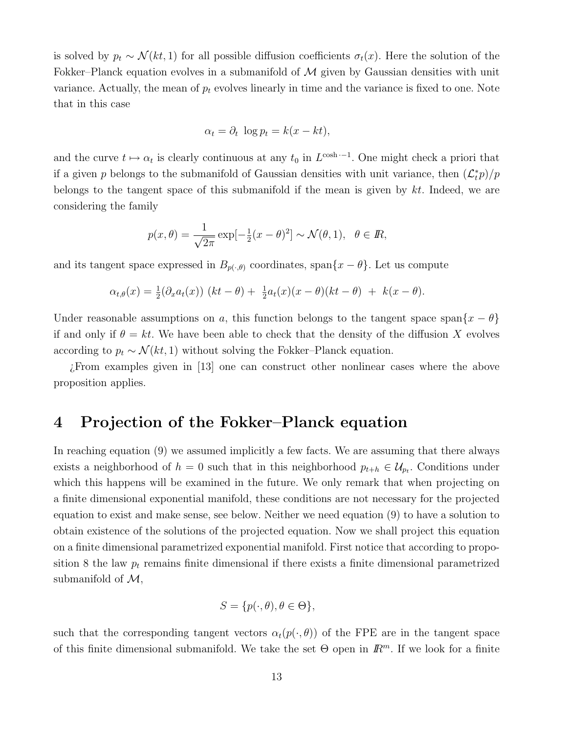is solved by  $p_t \sim \mathcal{N}(kt, 1)$  for all possible diffusion coefficients  $\sigma_t(x)$ . Here the solution of the Fokker–Planck equation evolves in a submanifold of  $M$  given by Gaussian densities with unit variance. Actually, the mean of  $p_t$  evolves linearly in time and the variance is fixed to one. Note that in this case

$$
\alpha_t = \partial_t \, \log p_t = k(x - kt),
$$

and the curve  $t \mapsto \alpha_t$  is clearly continuous at any  $t_0$  in  $L^{\cosh t}$ . One might check a priori that if a given p belongs to the submanifold of Gaussian densities with unit variance, then  $(\mathcal{L}_t^* p)/p$ belongs to the tangent space of this submanifold if the mean is given by  $kt$ . Indeed, we are considering the family

$$
p(x,\theta) = \frac{1}{\sqrt{2\pi}} \exp[-\frac{1}{2}(x-\theta)^2] \sim \mathcal{N}(\theta, 1), \quad \theta \in \mathbb{R},
$$

and its tangent space expressed in  $B_{p(\cdot,\theta)}$  coordinates, span $\{x-\theta\}$ . Let us compute

$$
\alpha_{t,\theta}(x) = \frac{1}{2}(\partial_x a_t(x)) \ (kt - \theta) + \frac{1}{2}a_t(x)(x - \theta)(kt - \theta) + k(x - \theta).
$$

Under reasonable assumptions on a, this function belongs to the tangent space span $\{x - \theta\}$ if and only if  $\theta = kt$ . We have been able to check that the density of the diffusion X evolves according to  $p_t \sim \mathcal{N}(kt, 1)$  without solving the Fokker–Planck equation.

¿From examples given in [13] one can construct other nonlinear cases where the above proposition applies.

### 4 Projection of the Fokker–Planck equation

In reaching equation (9) we assumed implicitly a few facts. We are assuming that there always exists a neighborhood of  $h = 0$  such that in this neighborhood  $p_{t+h} \in \mathcal{U}_{p_t}$ . Conditions under which this happens will be examined in the future. We only remark that when projecting on a finite dimensional exponential manifold, these conditions are not necessary for the projected equation to exist and make sense, see below. Neither we need equation (9) to have a solution to obtain existence of the solutions of the projected equation. Now we shall project this equation on a finite dimensional parametrized exponential manifold. First notice that according to proposition 8 the law  $p_t$  remains finite dimensional if there exists a finite dimensional parametrized submanifold of  $\mathcal{M}$ ,

$$
S = \{p(\cdot, \theta), \theta \in \Theta\},\
$$

such that the corresponding tangent vectors  $\alpha_t(p(\cdot,\theta))$  of the FPE are in the tangent space of this finite dimensional submanifold. We take the set  $\Theta$  open in  $\mathbb{R}^m$ . If we look for a finite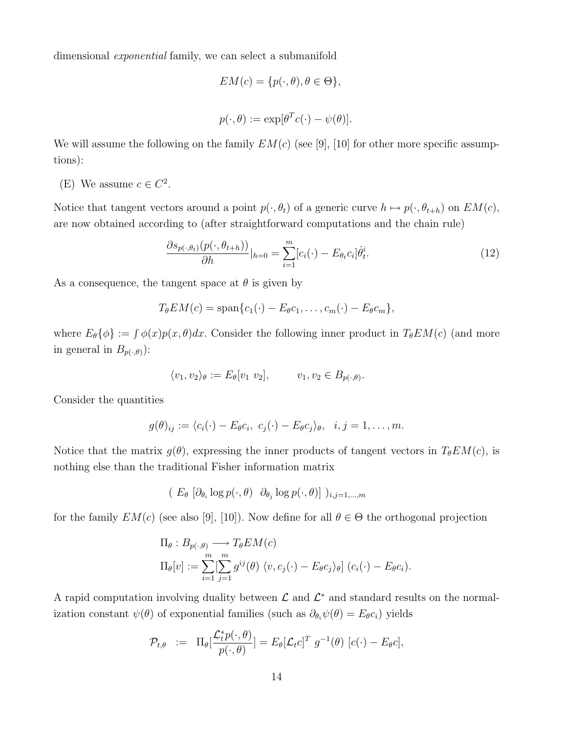dimensional exponential family, we can select a submanifold

$$
EM(c) = \{p(\cdot, \theta), \theta \in \Theta\},
$$
  

$$
p(\cdot, \theta) := \exp[\theta^T c(\cdot) - \psi(\theta)].
$$

We will assume the following on the family  $EM(c)$  (see [9], [10] for other more specific assumptions):

(E) We assume  $c \in C^2$ .

Notice that tangent vectors around a point  $p(\cdot, \theta_t)$  of a generic curve  $h \mapsto p(\cdot, \theta_{t+h})$  on  $EM(c)$ , are now obtained according to (after straightforward computations and the chain rule)

$$
\frac{\partial s_{p(\cdot,\theta_t)}(p(\cdot,\theta_{t+h}))}{\partial h}|_{h=0} = \sum_{i=1}^m [c_i(\cdot) - E_{\theta_t}c_i] \dot{\theta}_t^i.
$$
\n(12)

As a consequence, the tangent space at  $\theta$  is given by

$$
T_{\theta}EM(c) = \mathrm{span}\{c_1(\cdot) - E_{\theta}c_1, \ldots, c_m(\cdot) - E_{\theta}c_m\},\
$$

where  $E_{\theta} \{\phi\} := \int \phi(x) p(x, \theta) dx$ . Consider the following inner product in  $T_{\theta} E M(c)$  (and more in general in  $B_{p(\cdot,\theta)}$ :

$$
\langle v_1, v_2 \rangle_{\theta} := E_{\theta}[v_1 \ v_2], \qquad v_1, v_2 \in B_{p(\cdot, \theta)}.
$$

Consider the quantities

$$
g(\theta)_{ij} := \langle c_i(\cdot) - E_{\theta}c_i, c_j(\cdot) - E_{\theta}c_j \rangle_{\theta}, i, j = 1, \ldots, m.
$$

Notice that the matrix  $g(\theta)$ , expressing the inner products of tangent vectors in  $T_{\theta}EM(c)$ , is nothing else than the traditional Fisher information matrix

$$
(E_{\theta} [\partial_{\theta_i} \log p(\cdot, \theta) \partial_{\theta_j} \log p(\cdot, \theta)] )_{i,j=1,\dots,m}
$$

for the family  $EM(c)$  (see also [9], [10]). Now define for all  $\theta \in \Theta$  the orthogonal projection

$$
\Pi_{\theta}: B_{p(\cdot,\theta)} \longrightarrow T_{\theta}EM(c)
$$
  
\n
$$
\Pi_{\theta}[v] := \sum_{i=1}^{m} \sum_{j=1}^{m} g^{ij}(\theta) \langle v, c_j(\cdot) - E_{\theta}c_j \rangle_{\theta} \quad (c_i(\cdot) - E_{\theta}c_i).
$$

A rapid computation involving duality between  $\mathcal L$  and  $\mathcal L^*$  and standard results on the normalization constant  $\psi(\theta)$  of exponential families (such as  $\partial_{\theta_i}\psi(\theta) = E_{\theta}c_i$ ) yields

$$
\mathcal{P}_{t,\theta} \quad := \quad \Pi_{\theta} \left[ \frac{\mathcal{L}_t^* p(\cdot,\theta)}{p(\cdot,\theta)} \right] = E_{\theta} \left[ \mathcal{L}_t c \right]^T \, g^{-1}(\theta) \, \left[ c(\cdot) - E_{\theta} c \right],
$$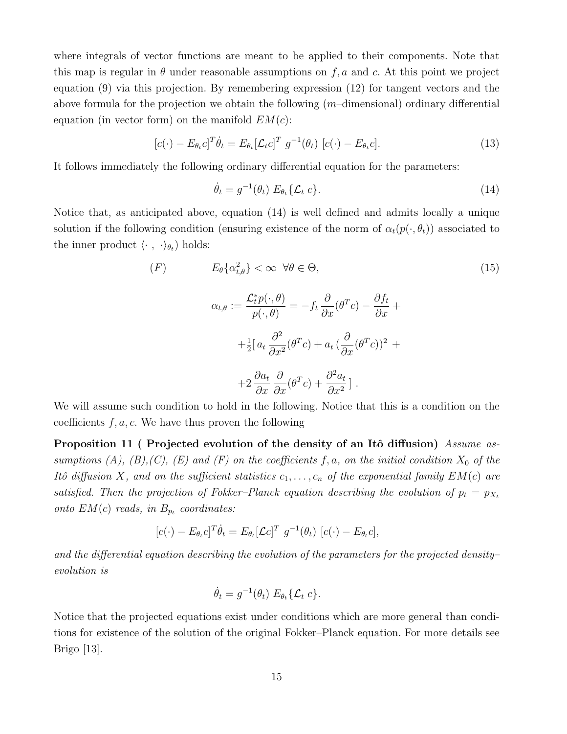where integrals of vector functions are meant to be applied to their components. Note that this map is regular in  $\theta$  under reasonable assumptions on  $f, a$  and c. At this point we project equation (9) via this projection. By remembering expression (12) for tangent vectors and the above formula for the projection we obtain the following  $(m$ –dimensional) ordinary differential equation (in vector form) on the manifold  $EM(c)$ :

$$
[c(\cdot) - E_{\theta_t} c]^T \dot{\theta}_t = E_{\theta_t} [\mathcal{L}_t c]^T g^{-1}(\theta_t) [c(\cdot) - E_{\theta_t} c]. \qquad (13)
$$

It follows immediately the following ordinary differential equation for the parameters:

$$
\dot{\theta}_t = g^{-1}(\theta_t) E_{\theta_t} \{ \mathcal{L}_t c \}.
$$
\n(14)

Notice that, as anticipated above, equation (14) is well defined and admits locally a unique solution if the following condition (ensuring existence of the norm of  $\alpha_t(p(\cdot, \theta_t))$  associated to the inner product  $\langle \cdot , \cdot \rangle_{\theta_t}$  holds:

$$
(F) \tE_{\theta}\{\alpha_{t,\theta}^{2}\} < \infty \quad \forall \theta \in \Theta,
$$
\n
$$
\alpha_{t,\theta} := \frac{\mathcal{L}_{t}^{*} p(\cdot,\theta)}{p(\cdot,\theta)} = -f_{t} \frac{\partial}{\partial x} (\theta^{T} c) - \frac{\partial f_{t}}{\partial x} +
$$
\n
$$
+ \frac{1}{2} \left[a_{t} \frac{\partial^{2}}{\partial x^{2}} (\theta^{T} c) + a_{t} \left(\frac{\partial}{\partial x} (\theta^{T} c)\right)^{2} +
$$
\n
$$
+ 2 \frac{\partial a_{t}}{\partial x} \frac{\partial}{\partial x} (\theta^{T} c) + \frac{\partial^{2} a_{t}}{\partial x^{2}} \right].
$$
\n
$$
(15)
$$

We will assume such condition to hold in the following. Notice that this is a condition on the coefficients  $f, a, c$ . We have thus proven the following

Proposition 11 ( Projected evolution of the density of an Itô diffusion) Assume assumptions (A), (B), (C), (E) and (F) on the coefficients f, a, on the initial condition  $X_0$  of the Itô diffusion X, and on the sufficient statistics  $c_1, \ldots, c_n$  of the exponential family  $EM(c)$  are satisfied. Then the projection of Fokker–Planck equation describing the evolution of  $p_t = p_{X_t}$ onto  $EM(c)$  reads, in  $B_{p_t}$  coordinates:

$$
[c(\cdot) - E_{\theta_t} c]^T \dot{\theta}_t = E_{\theta_t} [\mathcal{L} c]^T g^{-1}(\theta_t) [c(\cdot) - E_{\theta_t} c],
$$

and the differential equation describing the evolution of the parameters for the projected density– evolution is

$$
\dot{\theta}_t = g^{-1}(\theta_t) E_{\theta_t} \{ \mathcal{L}_t c \}.
$$

Notice that the projected equations exist under conditions which are more general than conditions for existence of the solution of the original Fokker–Planck equation. For more details see Brigo [13].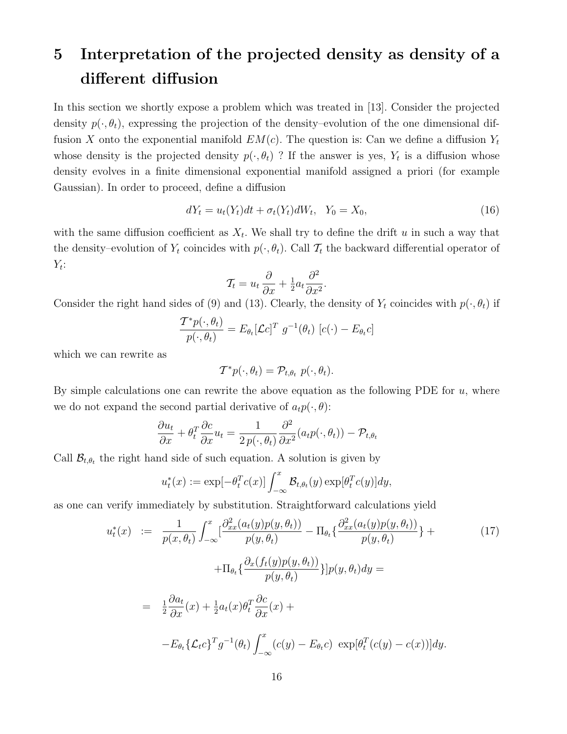## 5 Interpretation of the projected density as density of a different diffusion

In this section we shortly expose a problem which was treated in [13]. Consider the projected density  $p(\cdot,\theta_t)$ , expressing the projection of the density–evolution of the one dimensional diffusion X onto the exponential manifold  $EM(c)$ . The question is: Can we define a diffusion  $Y_t$ whose density is the projected density  $p(\cdot, \theta_t)$ ? If the answer is yes,  $Y_t$  is a diffusion whose density evolves in a finite dimensional exponential manifold assigned a priori (for example Gaussian). In order to proceed, define a diffusion

$$
dY_t = u_t(Y_t)dt + \sigma_t(Y_t)dW_t, \quad Y_0 = X_0,
$$
\n
$$
(16)
$$

with the same diffusion coefficient as  $X_t$ . We shall try to define the drift u in such a way that the density–evolution of  $Y_t$  coincides with  $p(\cdot, \theta_t)$ . Call  $\mathcal{T}_t$  the backward differential operator of  $Y_t$ :

$$
\mathcal{T}_t = u_t \frac{\partial}{\partial x} + \frac{1}{2} a_t \frac{\partial^2}{\partial x^2}.
$$

Consider the right hand sides of (9) and (13). Clearly, the density of  $Y_t$  coincides with  $p(\cdot, \theta_t)$  if

$$
\frac{\mathcal{T}^* p(\cdot, \theta_t)}{p(\cdot, \theta_t)} = E_{\theta_t}[\mathcal{L}c]^T g^{-1}(\theta_t) [c(\cdot) - E_{\theta_t}c]
$$

which we can rewrite as

$$
\mathcal{T}^*p(\cdot,\theta_t)=\mathcal{P}_{t,\theta_t} p(\cdot,\theta_t).
$$

By simple calculations one can rewrite the above equation as the following PDE for  $u$ , where we do not expand the second partial derivative of  $a_t p(\cdot, \theta)$ :

$$
\frac{\partial u_t}{\partial x} + \theta_t^T \frac{\partial c}{\partial x} u_t = \frac{1}{2 p(\cdot, \theta_t)} \frac{\partial^2}{\partial x^2} (a_t p(\cdot, \theta_t)) - \mathcal{P}_{t, \theta_t}
$$

Call  $\mathcal{B}_{t,\theta_t}$  the right hand side of such equation. A solution is given by

$$
u_t^*(x) := \exp[-\theta_t^T c(x)] \int_{-\infty}^x \mathcal{B}_{t,\theta_t}(y) \exp[\theta_t^T c(y)] dy,
$$

as one can verify immediately by substitution. Straightforward calculations yield

$$
u_t^*(x) := \frac{1}{p(x,\theta_t)} \int_{-\infty}^x \left[ \frac{\partial_{xx}^2(a_t(y)p(y,\theta_t))}{p(y,\theta_t)} - \Pi_{\theta_t} \left\{ \frac{\partial_{xx}^2(a_t(y)p(y,\theta_t))}{p(y,\theta_t)} \right\} + \Pi_{\theta_t} \left\{ \frac{\partial_x(f_t(y)p(y,\theta_t))}{p(y,\theta_t)} \right\} |p(y,\theta_t) dy =
$$
  
\n
$$
= \frac{1}{2} \frac{\partial a_t}{\partial x}(x) + \frac{1}{2} a_t(x) \theta_t^T \frac{\partial c}{\partial x}(x) + \frac{1}{2} a_t(x) \theta_t^T \frac{\partial c}{\partial x}(x) + \frac{1}{2} a_t(x) \theta_t^T \frac{\partial c}{\partial x}(x) - \mathcal{E}_{\theta_t} \left\{ \mathcal{L}_t c \right\}^T g^{-1}(\theta_t) \int_{-\infty}^x (c(y) - E_{\theta_t} c) \exp[\theta_t^T(c(y) - c(x))] dy.
$$
 (17)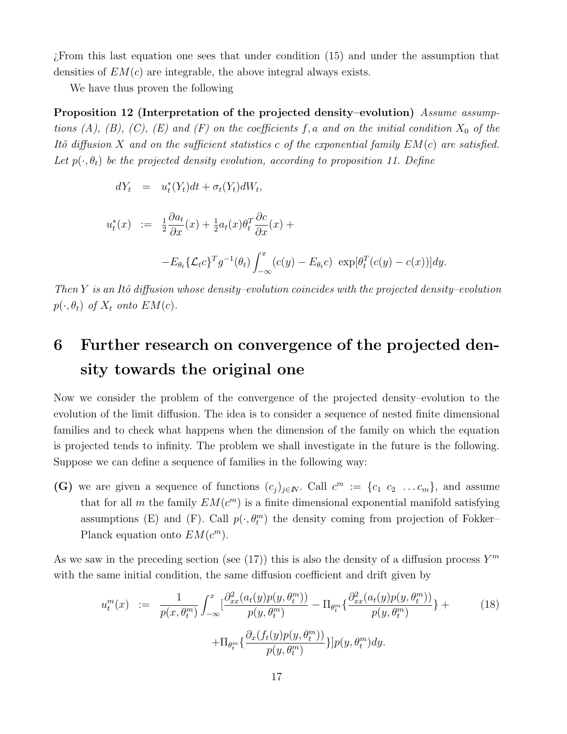¿From this last equation one sees that under condition (15) and under the assumption that densities of  $EM(c)$  are integrable, the above integral always exists.

We have thus proven the following

Proposition 12 (Interpretation of the projected density–evolution) Assume assumptions (A), (B), (C), (E) and (F) on the coefficients f, a and on the initial condition  $X_0$  of the Itô diffusion X and on the sufficient statistics c of the exponential family  $EM(c)$  are satisfied. Let  $p(\cdot,\theta_t)$  be the projected density evolution, according to proposition 11. Define

$$
dY_t = u_t^*(Y_t)dt + \sigma_t(Y_t)dW_t,
$$

$$
u_t^*(x) := \frac{1}{2} \frac{\partial a_t}{\partial x}(x) + \frac{1}{2} a_t(x) \theta_t^T \frac{\partial c}{\partial x}(x) +
$$
  
-
$$
E_{\theta_t} \{ \mathcal{L}_t c \}^T g^{-1}(\theta_t) \int_{-\infty}^x (c(y) - E_{\theta_t} c) \exp[\theta_t^T (c(y) - c(x))] dy.
$$

Then Y is an Itô diffusion whose density–evolution coincides with the projected density–evolution  $p(\cdot, \theta_t)$  of  $X_t$  onto  $EM(c)$ .

## 6 Further research on convergence of the projected density towards the original one

Now we consider the problem of the convergence of the projected density–evolution to the evolution of the limit diffusion. The idea is to consider a sequence of nested finite dimensional families and to check what happens when the dimension of the family on which the equation is projected tends to infinity. The problem we shall investigate in the future is the following. Suppose we can define a sequence of families in the following way:

(G) we are given a sequence of functions  $(c_j)_{j\in\mathbb{N}}$ . Call  $c^m := \{c_1, c_2, \ldots, c_m\}$ , and assume that for all m the family  $EM(c^m)$  is a finite dimensional exponential manifold satisfying assumptions (E) and (F). Call  $p(\cdot, \theta_t^m)$  the density coming from projection of Fokker– Planck equation onto  $EM(c^m)$ .

As we saw in the preceding section (see (17)) this is also the density of a diffusion process  $Y^m$ with the same initial condition, the same diffusion coefficient and drift given by

$$
u_t^m(x) := \frac{1}{p(x,\theta_t^m)} \int_{-\infty}^x \left[ \frac{\partial_{xx}^2(a_t(y)p(y,\theta_t^m))}{p(y,\theta_t^m)} - \Pi_{\theta_t^m} \{ \frac{\partial_{xx}^2(a_t(y)p(y,\theta_t^m))}{p(y,\theta_t^m)} \} + \Pi_{\theta_t^m} \{ \frac{\partial_x(f_t(y)p(y,\theta_t^m))}{p(y,\theta_t^m)} \} |p(y,\theta_t^m) dy.
$$
 (18)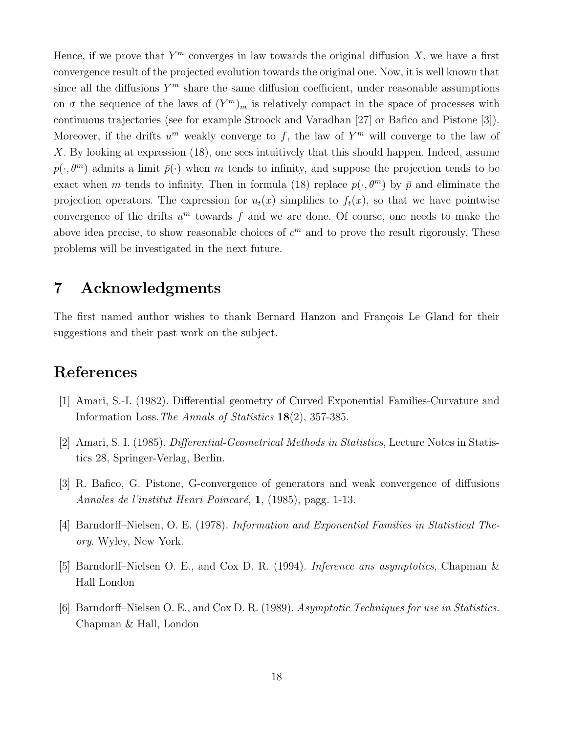Hence, if we prove that  $Y^m$  converges in law towards the original diffusion  $X$ , we have a first convergence result of the projected evolution towards the original one. Now, it is well known that since all the diffusions  $Y^m$  share the same diffusion coefficient, under reasonable assumptions on  $\sigma$  the sequence of the laws of  $(Y^m)_m$  is relatively compact in the space of processes with continuous trajectories (see for example Stroock and Varadhan [27] or Bafico and Pistone [3]). Moreover, if the drifts  $u^m$  weakly converge to f, the law of  $Y^m$  will converge to the law of X. By looking at expression (18), one sees intuitively that this should happen. Indeed, assume  $p(\cdot, \theta^m)$  admits a limit  $\bar{p}(\cdot)$  when m tends to infinity, and suppose the projection tends to be exact when m tends to infinity. Then in formula (18) replace  $p(\cdot,\theta^m)$  by  $\bar{p}$  and eliminate the projection operators. The expression for  $u_t(x)$  simplifies to  $f_t(x)$ , so that we have pointwise convergence of the drifts  $u^m$  towards f and we are done. Of course, one needs to make the above idea precise, to show reasonable choices of  $c<sup>m</sup>$  and to prove the result rigorously. These problems will be investigated in the next future.

## 7 Acknowledgments

The first named author wishes to thank Bernard Hanzon and François Le Gland for their suggestions and their past work on the subject.

## References

- [1] Amari, S.-I. (1982). Differential geometry of Curved Exponential Families-Curvature and Information Loss.The Annals of Statistics 18(2), 357-385.
- [2] Amari, S. I. (1985). Differential-Geometrical Methods in Statistics, Lecture Notes in Statistics 28, Springer-Verlag, Berlin.
- [3] R. Bafico, G. Pistone, G-convergence of generators and weak convergence of diffusions Annales de l'institut Henri Poincaré, 1, (1985), pagg. 1-13.
- [4] Barndorff–Nielsen, O. E. (1978). Information and Exponential Families in Statistical Theory. Wyley, New York.
- [5] Barndorff–Nielsen O. E., and Cox D. R. (1994). Inference ans asymptotics, Chapman & Hall London
- [6] Barndorff–Nielsen O. E., and Cox D. R. (1989). Asymptotic Techniques for use in Statistics. Chapman & Hall, London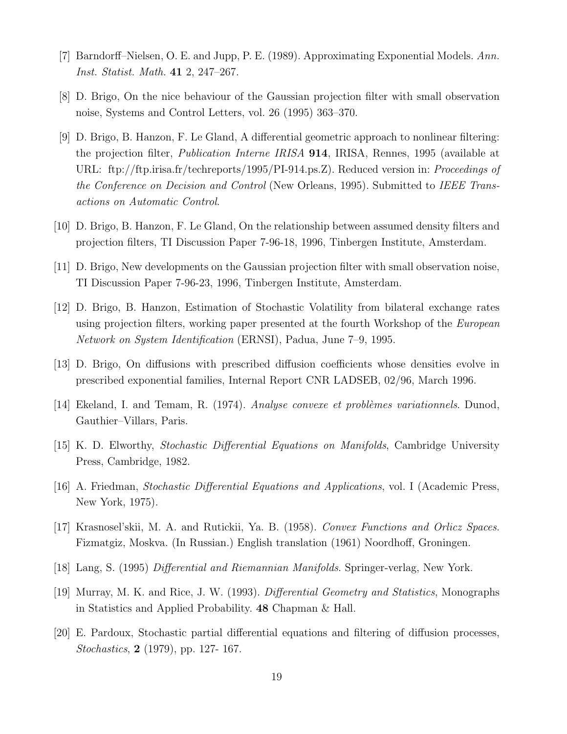- [7] Barndorff–Nielsen, O. E. and Jupp, P. E. (1989). Approximating Exponential Models. Ann. Inst. Statist. Math. 41 2, 247–267.
- [8] D. Brigo, On the nice behaviour of the Gaussian projection filter with small observation noise, Systems and Control Letters, vol. 26 (1995) 363–370.
- [9] D. Brigo, B. Hanzon, F. Le Gland, A differential geometric approach to nonlinear filtering: the projection filter, Publication Interne IRISA 914, IRISA, Rennes, 1995 (available at URL: ftp://ftp.irisa.fr/techreports/1995/PI-914.ps.Z). Reduced version in: Proceedings of the Conference on Decision and Control (New Orleans, 1995). Submitted to IEEE Transactions on Automatic Control.
- [10] D. Brigo, B. Hanzon, F. Le Gland, On the relationship between assumed density filters and projection filters, TI Discussion Paper 7-96-18, 1996, Tinbergen Institute, Amsterdam.
- [11] D. Brigo, New developments on the Gaussian projection filter with small observation noise, TI Discussion Paper 7-96-23, 1996, Tinbergen Institute, Amsterdam.
- [12] D. Brigo, B. Hanzon, Estimation of Stochastic Volatility from bilateral exchange rates using projection filters, working paper presented at the fourth Workshop of the *European* Network on System Identification (ERNSI), Padua, June 7–9, 1995.
- [13] D. Brigo, On diffusions with prescribed diffusion coefficients whose densities evolve in prescribed exponential families, Internal Report CNR LADSEB, 02/96, March 1996.
- [14] Ekeland, I. and Temam, R. (1974). Analyse convexe et problèmes variationnels. Dunod, Gauthier–Villars, Paris.
- [15] K. D. Elworthy, Stochastic Differential Equations on Manifolds, Cambridge University Press, Cambridge, 1982.
- [16] A. Friedman, Stochastic Differential Equations and Applications, vol. I (Academic Press, New York, 1975).
- [17] Krasnosel'skii, M. A. and Rutickii, Ya. B. (1958). Convex Functions and Orlicz Spaces. Fizmatgiz, Moskva. (In Russian.) English translation (1961) Noordhoff, Groningen.
- [18] Lang, S. (1995) Differential and Riemannian Manifolds. Springer-verlag, New York.
- [19] Murray, M. K. and Rice, J. W. (1993). Differential Geometry and Statistics, Monographs in Statistics and Applied Probability. 48 Chapman & Hall.
- [20] E. Pardoux, Stochastic partial differential equations and filtering of diffusion processes, Stochastics, 2 (1979), pp. 127- 167.